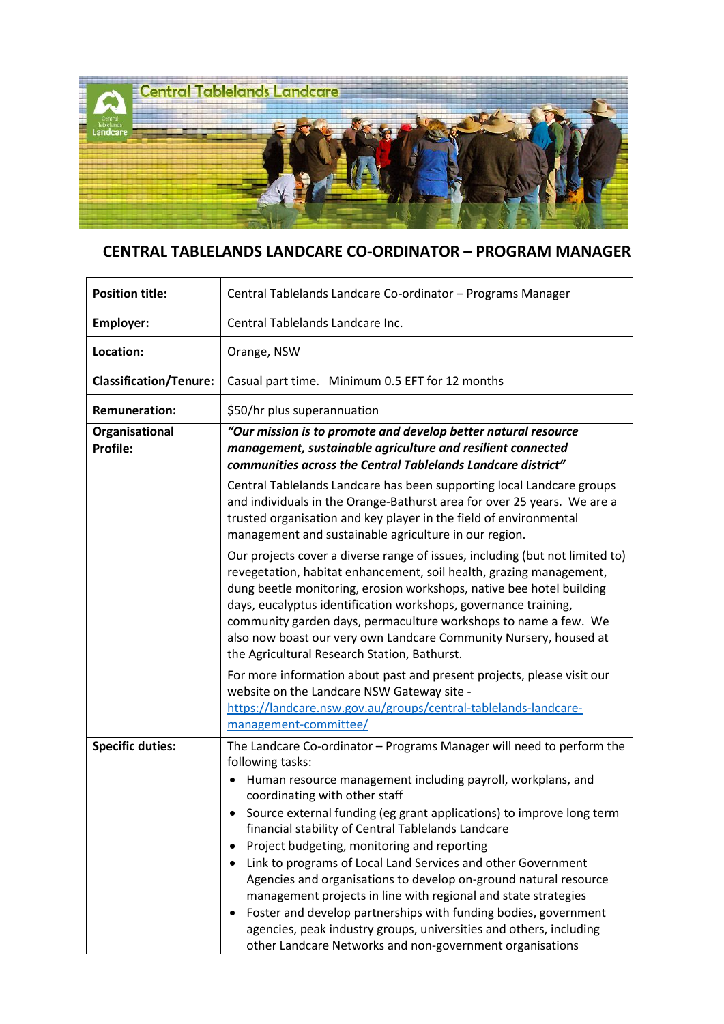

## **CENTRAL TABLELANDS LANDCARE CO-ORDINATOR – PROGRAM MANAGER**

| <b>Position title:</b>        | Central Tablelands Landcare Co-ordinator - Programs Manager                                                                                                                                                                                                                                                                                                                                                                                                                                                                                                                                                                                                                                                                                                                                    |
|-------------------------------|------------------------------------------------------------------------------------------------------------------------------------------------------------------------------------------------------------------------------------------------------------------------------------------------------------------------------------------------------------------------------------------------------------------------------------------------------------------------------------------------------------------------------------------------------------------------------------------------------------------------------------------------------------------------------------------------------------------------------------------------------------------------------------------------|
| <b>Employer:</b>              | Central Tablelands Landcare Inc.                                                                                                                                                                                                                                                                                                                                                                                                                                                                                                                                                                                                                                                                                                                                                               |
| Location:                     | Orange, NSW                                                                                                                                                                                                                                                                                                                                                                                                                                                                                                                                                                                                                                                                                                                                                                                    |
| <b>Classification/Tenure:</b> | Casual part time. Minimum 0.5 EFT for 12 months                                                                                                                                                                                                                                                                                                                                                                                                                                                                                                                                                                                                                                                                                                                                                |
| <b>Remuneration:</b>          | \$50/hr plus superannuation                                                                                                                                                                                                                                                                                                                                                                                                                                                                                                                                                                                                                                                                                                                                                                    |
| Organisational<br>Profile:    | "Our mission is to promote and develop better natural resource<br>management, sustainable agriculture and resilient connected<br>communities across the Central Tablelands Landcare district"                                                                                                                                                                                                                                                                                                                                                                                                                                                                                                                                                                                                  |
|                               | Central Tablelands Landcare has been supporting local Landcare groups<br>and individuals in the Orange-Bathurst area for over 25 years. We are a<br>trusted organisation and key player in the field of environmental<br>management and sustainable agriculture in our region.                                                                                                                                                                                                                                                                                                                                                                                                                                                                                                                 |
|                               | Our projects cover a diverse range of issues, including (but not limited to)<br>revegetation, habitat enhancement, soil health, grazing management,<br>dung beetle monitoring, erosion workshops, native bee hotel building<br>days, eucalyptus identification workshops, governance training,<br>community garden days, permaculture workshops to name a few. We<br>also now boast our very own Landcare Community Nursery, housed at<br>the Agricultural Research Station, Bathurst.                                                                                                                                                                                                                                                                                                         |
|                               | For more information about past and present projects, please visit our<br>website on the Landcare NSW Gateway site -<br>https://landcare.nsw.gov.au/groups/central-tablelands-landcare-<br>management-committee/                                                                                                                                                                                                                                                                                                                                                                                                                                                                                                                                                                               |
| <b>Specific duties:</b>       | The Landcare Co-ordinator - Programs Manager will need to perform the<br>following tasks:<br>Human resource management including payroll, workplans, and<br>$\bullet$<br>coordinating with other staff<br>Source external funding (eg grant applications) to improve long term<br>financial stability of Central Tablelands Landcare<br>Project budgeting, monitoring and reporting<br>Link to programs of Local Land Services and other Government<br>Agencies and organisations to develop on-ground natural resource<br>management projects in line with regional and state strategies<br>Foster and develop partnerships with funding bodies, government<br>agencies, peak industry groups, universities and others, including<br>other Landcare Networks and non-government organisations |